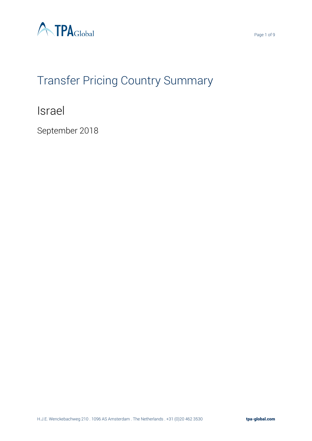

# Transfer Pricing Country Summary

Israel

September 2018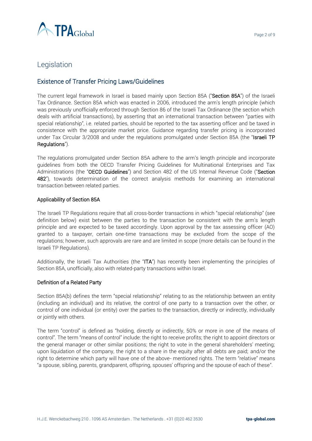

## Legislation

## Existence of Transfer Pricing Laws/Guidelines

The current legal framework in Israel is based mainly upon Section 85A ("Section 85A") of the Israeli Tax Ordinance. Section 85A which was enacted in 2006, introduced the arm's length principle (which was previously unofficially enforced through Section 86 of the Israeli Tax Ordinance (the section which deals with artificial transactions), by asserting that an international transaction between "parties with special relationship", i.e. related parties, should be reported to the tax asserting officer and be taxed in consistence with the appropriate market price. Guidance regarding transfer pricing is incorporated under Tax Circular 3/2008 and under the regulations promulgated under Section 85A (the "Israeli TP Regulations").

The regulations promulgated under Section 85A adhere to the arm's length principle and incorporate guidelines from both the OECD Transfer Pricing Guidelines for Multinational Enterprises and Tax Administrations (the "OECD Guidelines") and Section 482 of the US Internal Revenue Code ("Section 482"), towards determination of the correct analysis methods for examining an international transaction between related parties.

#### Applicability of Section 85A

The Israeli TP Regulations require that all cross-border transactions in which "special relationship" (see definition below) exist between the parties to the transaction be consistent with the arm's length principle and are expected to be taxed accordingly. Upon approval by the tax assessing officer (AO) granted to a taxpayer, certain one-time transactions may be excluded from the scope of the regulations; however, such approvals are rare and are limited in scope (more details can be found in the Israeli TP Regulations).

Additionally, the Israeli Tax Authorities (the "ITA") has recently been implementing the principles of Section 85A, unofficially, also with related-party transactions within Israel.

#### Definition of a Related Party

Section 85A(b) defines the term "special relationship" relating to as the relationship between an entity (including an individual) and its relative, the control of one party to a transaction over the other, or control of one individual (or entity) over the parties to the transaction, directly or indirectly, individually or jointly with others.

The term "control" is defined as "holding, directly or indirectly, 50% or more in one of the means of control". The term "means of control" include: the right to receive profits; the right to appoint directors or the general manager or other similar positions; the right to vote in the general shareholders' meeting; upon liquidation of the company, the right to a share in the equity after all debts are paid; and/or the right to determine which party will have one of the above- mentioned rights. The term "relative" means "a spouse, sibling, parents, grandparent, offspring, spouses' offspring and the spouse of each of these".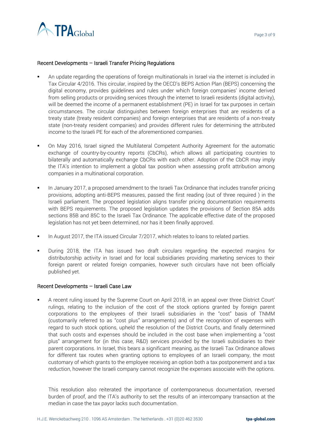

#### Recent Developments – Israeli Transfer Pricing Regulations

- An update regarding the operations of foreign multinationals in Israel via the internet is included in Tax Circular 4/2016. This circular, inspired by the OECD's BEPS Action Plan (BEPS) concerning the digital economy, provides guidelines and rules under which foreign companies' income derived from selling products or providing services through the internet to Israeli residents (digital activity), will be deemed the income of a permanent establishment (PE) in Israel for tax purposes in certain circumstances. The circular distinguishes between foreign enterprises that are residents of a treaty state (treaty resident companies) and foreign enterprises that are residents of a non-treaty state (non-treaty resident companies) and provides different rules for determining the attributed income to the Israeli PE for each of the aforementioned companies.
- On May 2016, Israel signed the Multilateral Competent Authority Agreement for the automatic exchange of country-by-country reports (CbCRs), which allows all participating countries to bilaterally and automatically exchange CbCRs with each other. Adoption of the CbCR may imply the ITA's intention to implement a global tax position when assessing profit attribution among companies in a multinational corporation.
- In January 2017, a proposed amendment to the Israeli Tax Ordinance that includes transfer pricing provisions, adopting anti-BEPS measures, passed the first reading (out of three required ) in the Israeli parliament. The proposed legislation aligns transfer pricing documentation requirements with BEPS requirements. The proposed legislation updates the provisions of Section 85A adds sections 85B and 85C to the Israeli Tax Ordinance. The applicable effective date of the proposed legislation has not yet been determined, nor has it been finally approved.
- In August 2017, the ITA issued Circular 7/2017, which relates to loans to related parties.
- During 2018, the ITA has issued two draft circulars regarding the expected margins for distributorship activity in Israel and for local subsidiaries providing marketing services to their foreign parent or related foreign companies, however such circulars have not been officially published yet.

#### Recent Developments – Israeli Case Law

A recent ruling issued by the Supreme Court on April 2018, in an appeal over three District Court' rulings, relating to the inclusion of the cost of the stock options granted by foreign parent corporations to the employees of their Israeli subsidiaries in the "cost" basis of TNMM (customarily referred to as "cost plus" arrangements) and of the recognition of expenses with regard to such stock options, upheld the resolution of the District Courts, and finally determined that such costs and expenses should be included in the cost base when implementing a "cost plus" arrangement for (in this case, R&D) services provided by the Israeli subsidiaries to their parent corporations. In Israel, this bears a significant meaning, as the Israeli Tax Ordinance allows for different tax routes when granting options to employees of an Israeli company, the most customary of which grants to the employee receiving an option both a tax postponement and a tax reduction, however the Israeli company cannot recognize the expenses associate with the options.

This resolution also reiterated the importance of contemporaneous documentation, reversed burden of proof, and the ITA's authority to set the results of an intercompany transaction at the median in case the tax payor lacks such documentation.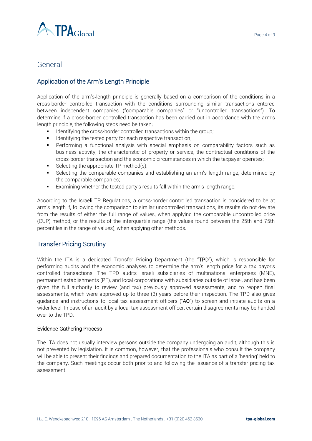

## General

## Application of the Arm's Length Principle

Application of the arm's‑length principle is generally based on a comparison of the conditions in a cross-border controlled transaction with the conditions surrounding similar transactions entered between independent companies ("comparable companies" or "uncontrolled transactions"). To determine if a cross-border controlled transaction has been carried out in accordance with the arm's length principle, the following steps need be taken:

- Identifying the cross-border controlled transactions within the group;
- **EXEDENT** Identifying the tested party for each respective transaction;
- **•** Performing a functional analysis with special emphasis on comparability factors such as business activity, the characteristic of property or service, the contractual conditions of the cross-border transaction and the economic circumstances in which the taxpayer operates;
- $\blacksquare$  Selecting the appropriate TP method(s);
- Selecting the comparable companies and establishing an arm's length range, determined by the comparable companies;
- Examining whether the tested party's results fall within the arm's length range.

According to the Israeli TP Regulations, a cross-border controlled transaction is considered to be at arm's length if, following the comparison to similar uncontrolled transactions, its results do not deviate from the results of either the full range of values, when applying the comparable uncontrolled price (CUP) method, or the results of the interquartile range (the values found between the 25th and 75th percentiles in the range of values), when applying other methods.

## Transfer Pricing Scrutiny

Within the ITA is a dedicated Transfer Pricing Department (the "TPD"), which is responsible for performing audits and the economic analyses to determine the arm's length price for a tax payor's controlled transactions. The TPD audits Israeli subsidiaries of multinational enterprises (MNE), permanent establishments (PE), and local corporations with subsidiaries outside of Israel, and has been given the full authority to review (and tax) previously approved assessments, and to reopen final assessments, which were approved up to three (3) years before their inspection. The TPD also gives guidance and instructions to local tax assessment officers ("AO") to screen and initiate audits on a wider level. In case of an audit by a local tax assessment officer, certain disagreements may be handed over to the TPD.

#### Evidence-Gathering Process

The ITA does not usually interview persons outside the company undergoing an audit, although this is not prevented by legislation. It is common, however, that the professionals who consult the company will be able to present their findings and prepared documentation to the ITA as part of a 'hearing' held to the company. Such meetings occur both prior to and following the issuance of a transfer pricing tax assessment.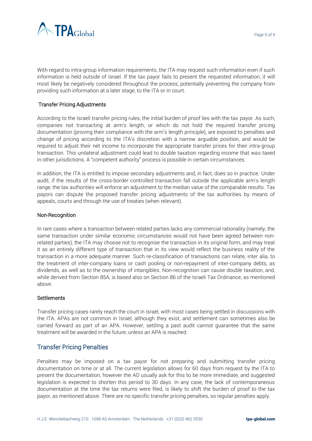

With regard to intra-group information requirements, the ITA may request such information even if such information is held outside of Israel. If the tax payor fails to present the requested information, it will most likely be negatively considered throughout the process, potentially preventing the company from providing such information at a later stage, to the ITA or in court.

#### Transfer Pricing Adjustments

According to the Israeli transfer pricing rules, the initial burden of proof lies with the tax payor. As such, companies not transacting at arm's length, or which do not hold the required transfer pricing documentation (proving their compliance with the arm's length principle), are exposed to penalties and change of pricing according to the ITA's discretion with a narrow arguable position, and would be required to adjust their net income to incorporate the appropriate transfer prices for their intra-group transaction. This unilateral adjustment could lead to double taxation regarding income that was taxed in other jurisdictions. A "competent authority" process is possible in certain circumstances.

In addition, the ITA is entitled to impose secondary adjustments and, in fact, does so in practice. Under audit, if the results of the cross-border controlled transaction fall outside the applicable arm's length range, the tax authorities will enforce an adjustment to the median value of the comparable results. Tax payors can dispute the proposed transfer pricing adjustments of the tax authorities by means of appeals, courts and through the use of treaties (when relevant).

#### Non-Recognition

In rare cases where a transaction between related parties lacks any commercial rationality (namely, the same transaction under similar economic circumstances would not have been agreed between nonrelated parties), the ITA may choose not to recognise the transaction in its original form, and may treat it as an entirely different type of transaction that in its view would reflect the business reality of the transaction in a more adequate manner. Such re-classification of transactions can relate, inter alia, to the treatment of inter-company loans or cash pooling or non-repayment of inter-company debts, as dividends, as well as to the ownership of intangibles. Non-recognition can cause double taxation, and, while derived from Section 85A, is based also on Section 86 of the Israeli Tax Ordinance, as mentioned above.

#### **Settlements**

Transfer pricing cases rarely reach the court in Israel, with most cases being settled in discussions with the ITA. APAs are not common in Israel, although they exist, and settlement can sometimes also be carried forward as part of an APA. However, settling a past audit cannot guarantee that the same treatment will be awarded in the future, unless an APA is reached.

## Transfer Pricing Penalties

Penalties may be imposed on a tax payor for not preparing and submitting transfer pricing documentation on time or at all. The current legislation allows for 60 days from request by the ITA to present the documentation, however the AO usually ask for this to be more immediate, and suggested legislation is expected to shorten this period to 30 days. In any case, the lack of contemporaneous documentation at the time the tax returns were filed, is likely to shift the burden of proof to the tax payor, as mentioned above. There are no specific transfer pricing penalties, so regular penalties apply.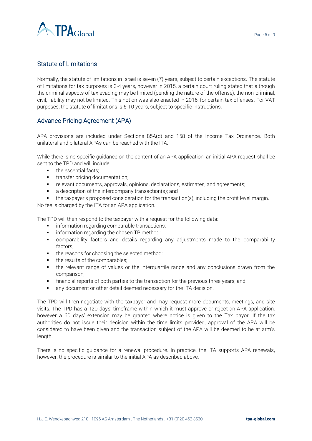

## Statute of Limitations

Normally, the statute of limitations in Israel is seven (7) years, subject to certain exceptions. The statute of limitations for tax purposes is 3-4 years, however in 2015, a certain court ruling stated that although the criminal aspects of tax evading may be limited (pending the nature of the offense), the non-criminal, civil, liability may not be limited. This notion was also enacted in 2016, for certain tax offenses. For VAT purposes, the statute of limitations is 5-10 years, subject to specific instructions.

## Advance Pricing Agreement (APA)

APA provisions are included under Sections 85A(d) and 158 of the Income Tax Ordinance. Both unilateral and bilateral APAs can be reached with the ITA.

While there is no specific guidance on the content of an APA application, an initial APA request shall be sent to the TPD and will include:

- the essential facts:
- transfer pricing documentation;
- **•** relevant documents, approvals, opinions, declarations, estimates, and agreements;
- a description of the intercompany transaction(s); and
- the taxpayer's proposed consideration for the transaction(s), including the profit level margin.

No fee is charged by the ITA for an APA application.

The TPD will then respond to the taxpayer with a request for the following data:

- **·** information regarding comparable transactions;
- **•** information regarding the chosen TP method;
- comparability factors and details regarding any adjustments made to the comparability factors;
- the reasons for choosing the selected method;
- the results of the comparables;
- the relevant range of values or the interguartile range and any conclusions drawn from the comparison;
- **•** financial reports of both parties to the transaction for the previous three years; and
- any document or other detail deemed necessary for the ITA decision.

The TPD will then negotiate with the taxpayer and may request more documents, meetings, and site visits. The TPD has a 120 days' timeframe within which it must approve or reject an APA application, however a 60 days' extension may be granted where notice is given to the Tax payor. If the tax authorities do not issue their decision within the time limits provided, approval of the APA will be considered to have been given and the transaction subject of the APA will be deemed to be at arm's length.

There is no specific guidance for a renewal procedure. In practice, the ITA supports APA renewals, however, the procedure is similar to the initial APA as described above.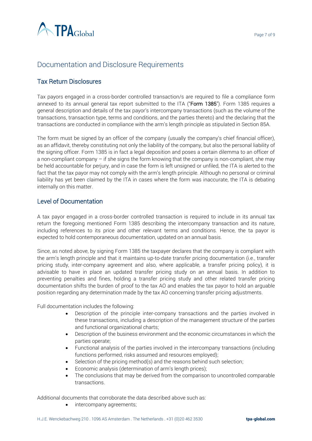

# Documentation and Disclosure Requirements

## Tax Return Disclosures

Tax payors engaged in a cross-border controlled transaction/s are required to file a compliance form annexed to its annual general tax report submitted to the ITA ("Form 1385"). Form 1385 requires a general description and details of the tax payor's intercompany transactions (such as the volume of the transactions, transaction type, terms and conditions, and the parties thereto) and the declaring that the transactions are conducted in compliance with the arm's length principle as stipulated in Section 85A.

The form must be signed by an officer of the company (usually the company's chief financial officer), as an affidavit, thereby constituting not only the liability of the company, but also the personal liability of the signing officer. Form 1385 is in fact a legal deposition and poses a certain dilemma to an officer of a non-compliant company – if she signs the form knowing that the company is non-compliant, she may be held accountable for perjury, and in case the form is left unsigned or unfiled, the ITA is alerted to the fact that the tax payor may not comply with the arm's length principle. Although no personal or criminal liability has yet been claimed by the ITA in cases where the form was inaccurate, the ITA is debating internally on this matter.

## Level of Documentation

A tax payor engaged in a cross-border controlled transaction is required to include in its annual tax return the foregoing mentioned Form 1385 describing the intercompany transaction and its nature, including references to its price and other relevant terms and conditions. Hence, the ta payor is expected to hold contemporaneous documentation, updated on an annual basis.

Since, as noted above, by signing Form 1385 the taxpayer declares that the company is compliant with the arm's length principle and that it maintains up-to-date transfer pricing documentation (i.e., transfer pricing study, inter-company agreement and also, where applicable, a transfer pricing policy), it is advisable to have in place an updated transfer pricing study on an annual basis. In addition to preventing penalties and fines, holding a transfer pricing study and other related transfer pricing documentation shifts the burden of proof to the tax AO and enables the tax payor to hold an arguable position regarding any determination made by the tax AO concerning transfer pricing adjustments.

Full documentation includes the following:

- Description of the principle inter-company transactions and the parties involved in these transactions, including a description of the management structure of the parties and functional organizational charts;
- Description of the business environment and the economic circumstances in which the parties operate;
- Functional analysis of the parties involved in the intercompany transactions (including functions performed, risks assumed and resources employed);
- Selection of the pricing method(s) and the reasons behind such selection;
- Economic analysis (determination of arm's length prices);
- The conclusions that may be derived from the comparison to uncontrolled comparable transactions.

Additional documents that corroborate the data described above such as:

intercompany agreements;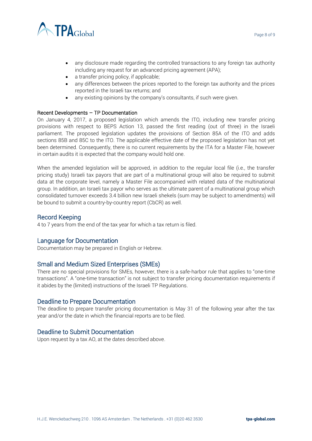



- any disclosure made regarding the controlled transactions to any foreign tax authority including any request for an advanced pricing agreement (APA);
- a transfer pricing policy, if applicable;
- any differences between the prices reported to the foreign tax authority and the prices reported in the Israeli tax returns; and
- any existing opinions by the company's consultants, if such were given.

#### Recent Developments – TP Documentation

On January 4, 2017, a proposed legislation which amends the ITO, including new transfer pricing provisions with respect to BEPS Action 13, passed the first reading (out of three) in the Israeli parliament. The proposed legislation updates the provisions of Section 85A of the ITO and adds sections 85B and 85C to the ITO. The applicable effective date of the proposed legislation has not yet been determined. Consequently, there is no current requirements by the ITA for a Master File, however in certain audits it is expected that the company would hold one.

When the amended legislation will be approved, in addition to the regular local file (i.e., the transfer pricing study) Israeli tax payors that are part of a multinational group will also be required to submit data at the corporate level, namely a Master File accompanied with related data of the multinational group. In addition, an Israeli tax payor who serves as the ultimate parent of a multinational group which consolidated turnover exceeds 3.4 billion new Israeli shekels (sum may be subject to amendments) will be bound to submit a country-by-country report (CbCR) as well.

## Record Keeping

4 to 7 years from the end of the tax year for which a tax return is filed.

## Language for Documentation

Documentation may be prepared in English or Hebrew.

## Small and Medium Sized Enterprises (SMEs)

There are no special provisions for SMEs, however, there is a safe-harbor rule that applies to "one-time transactions". A "one-time transaction" is not subject to transfer pricing documentation requirements if it abides by the (limited) instructions of the Israeli TP Regulations.

## Deadline to Prepare Documentation

The deadline to prepare transfer pricing documentation is May 31 of the following year after the tax year and/or the date in which the financial reports are to be filed.

## Deadline to Submit Documentation

Upon request by a tax AO, at the dates described above.